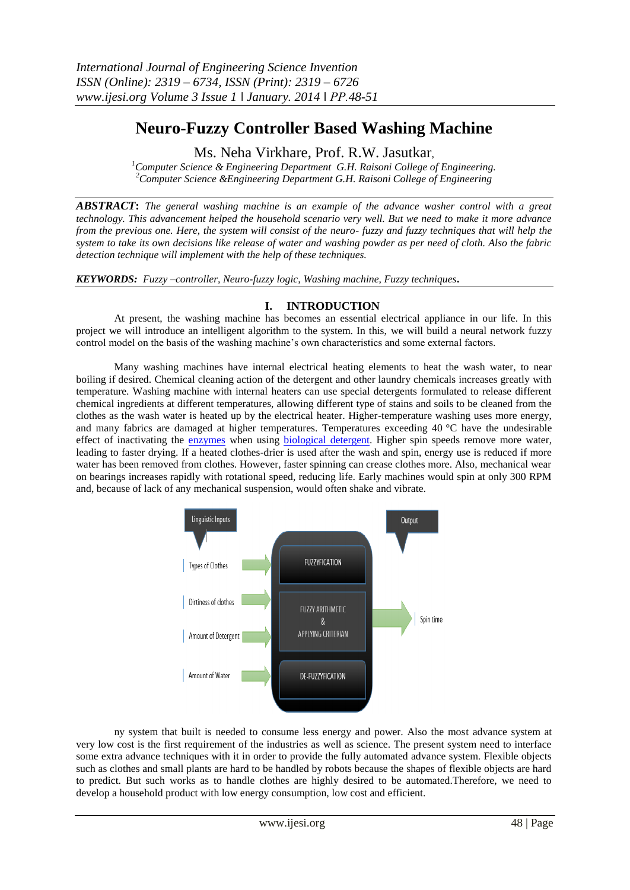# **Neuro-Fuzzy Controller Based Washing Machine**

Ms. Neha Virkhare, Prof. R.W. Jasutkar,

*<sup>1</sup>Computer Science & Engineering Department G.H. Raisoni College of Engineering. <sup>2</sup>Computer Science &Engineering Department G.H. Raisoni College of Engineering*

*ABSTRACT***:** *The general washing machine is an example of the advance washer control with a great technology. This advancement helped the household scenario very well. But we need to make it more advance from the previous one. Here, the system will consist of the neuro- fuzzy and fuzzy techniques that will help the system to take its own decisions like release of water and washing powder as per need of cloth. Also the fabric detection technique will implement with the help of these techniques.*

*KEYWORDS:**Fuzzy –controller, Neuro-fuzzy logic, Washing machine, Fuzzy techniques***.**

## **I. INTRODUCTION**

At present, the washing machine has becomes an essential electrical appliance in our life. In this project we will introduce an intelligent algorithm to the system. In this, we will build a neural network fuzzy control model on the basis of the washing machine's own characteristics and some external factors.

Many washing machines have internal electrical heating elements to heat the wash water, to near boiling if desired. Chemical cleaning action of the detergent and other laundry chemicals increases greatly with temperature. Washing machine with internal heaters can use special detergents formulated to release different chemical ingredients at different temperatures, allowing different type of stains and soils to be cleaned from the clothes as the wash water is heated up by the electrical heater. Higher-temperature washing uses more energy, and many fabrics are damaged at higher temperatures. Temperatures exceeding 40 °C have the undesirable effect of inactivating the [enzymes](mhtml:file://C:\Users\neha\Desktop\Washing%20machine%20-%20Wikipedia,%20the%20free%20encyclopedia.mht!https://en.wikipedia.org/wiki/Enzyme) when using **biological detergent**. Higher spin speeds remove more water, leading to faster drying. If a heated clothes-drier is used after the wash and spin, energy use is reduced if more water has been removed from clothes. However, faster spinning can crease clothes more. Also, mechanical wear on bearings increases rapidly with rotational speed, reducing life. Early machines would spin at only 300 RPM and, because of lack of any mechanical suspension, would often shake and vibrate.



ny system that built is needed to consume less energy and power. Also the most advance system at very low cost is the first requirement of the industries as well as science. The present system need to interface some extra advance techniques with it in order to provide the fully automated advance system. Flexible objects such as clothes and small plants are hard to be handled by robots because the shapes of flexible objects are hard to predict. But such works as to handle clothes are highly desired to be automated.Therefore, we need to develop a household product with low energy consumption, low cost and efficient.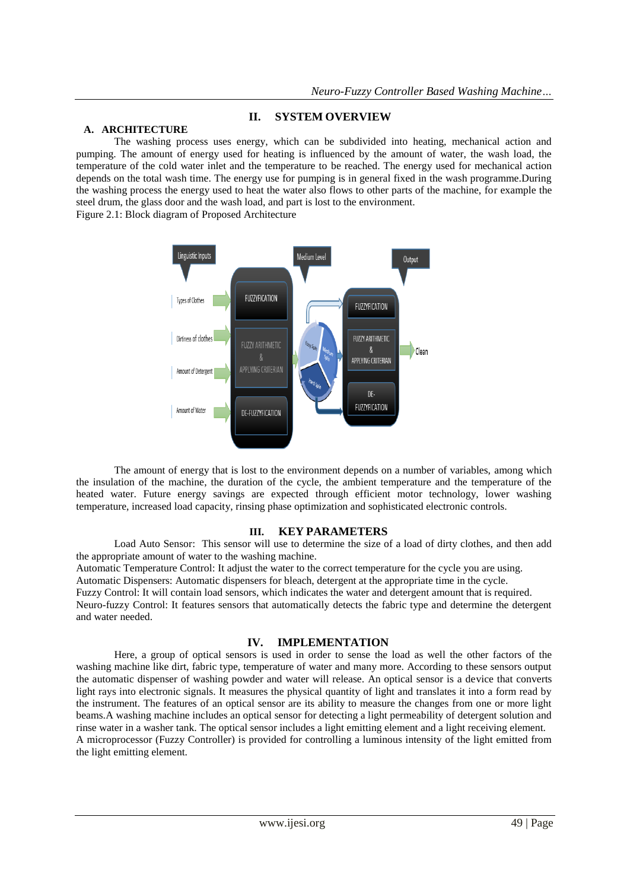## **II. SYSTEM OVERVIEW**

## **A. ARCHITECTURE**

The washing process uses energy, which can be subdivided into heating, mechanical action and pumping. The amount of energy used for heating is influenced by the amount of water, the wash load, the temperature of the cold water inlet and the temperature to be reached. The energy used for mechanical action depends on the total wash time. The energy use for pumping is in general fixed in the wash programme.During the washing process the energy used to heat the water also flows to other parts of the machine, for example the steel drum, the glass door and the wash load, and part is lost to the environment. Figure 2.1: Block diagram of Proposed Architecture



The amount of energy that is lost to the environment depends on a number of variables, among which the insulation of the machine, the duration of the cycle, the ambient temperature and the temperature of the heated water. Future energy savings are expected through efficient motor technology, lower washing temperature, increased load capacity, rinsing phase optimization and sophisticated electronic controls.

#### **III. KEY PARAMETERS**

Load Auto Sensor: This sensor will use to determine the size of a load of dirty clothes, and then add the appropriate amount of water to the washing machine.

Automatic Temperature Control: It adjust the water to the correct temperature for the cycle you are using. Automatic Dispensers: Automatic dispensers for bleach, detergent at the appropriate time in the cycle. Fuzzy Control: It will contain load sensors, which indicates the water and detergent amount that is required. Neuro-fuzzy Control: It features sensors that automatically detects the fabric type and determine the detergent and water needed.

## **IV. IMPLEMENTATION**

Here, a group of optical sensors is used in order to sense the load as well the other factors of the washing machine like dirt, fabric type, temperature of water and many more. According to these sensors output the automatic dispenser of washing powder and water will release. An optical sensor is a device that converts light rays into electronic signals. It measures the physical quantity of light and translates it into a form read by the instrument. The features of an optical sensor are its ability to measure the changes from one or more light beams.A washing machine includes an optical sensor for detecting a light permeability of detergent solution and rinse water in a washer tank. The optical sensor includes a light emitting element and a light receiving element. A microprocessor (Fuzzy Controller) is provided for controlling a luminous intensity of the light emitted from the light emitting element.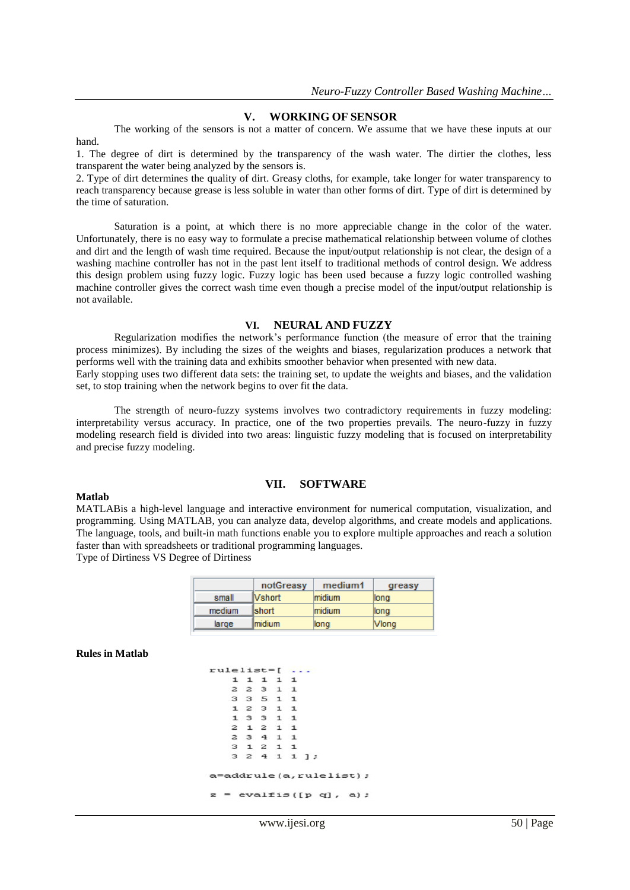#### **V. WORKING OF SENSOR**

The working of the sensors is not a matter of concern. We assume that we have these inputs at our hand.

1. The degree of dirt is determined by the transparency of the wash water. The dirtier the clothes, less transparent the water being analyzed by the sensors is.

2. Type of dirt determines the quality of dirt. Greasy cloths, for example, take longer for water transparency to reach transparency because grease is less soluble in water than other forms of dirt. Type of dirt is determined by the time of saturation.

Saturation is a point, at which there is no more appreciable change in the color of the water. Unfortunately, there is no easy way to formulate a precise mathematical relationship between volume of clothes and dirt and the length of wash time required. Because the input/output relationship is not clear, the design of a washing machine controller has not in the past lent itself to traditional methods of control design. We address this design problem using fuzzy logic. Fuzzy logic has been used because a fuzzy logic controlled washing machine controller gives the correct wash time even though a precise model of the input/output relationship is not available.

#### **VI. NEURAL AND FUZZY**

Regularization modifies the network's performance function (the measure of error that the training process minimizes). By including the sizes of the weights and biases, regularization produces a network that performs well with the training data and exhibits smoother behavior when presented with new data. Early stopping uses two different data sets: the training set, to update the weights and biases, and the validation set, to stop training when the network begins to over fit the data.

The strength of neuro-fuzzy systems involves two contradictory requirements in fuzzy modeling: interpretability versus accuracy. In practice, one of the two properties prevails. The neuro-fuzzy in fuzzy modeling research field is divided into two areas: linguistic fuzzy modeling that is focused on interpretability and precise fuzzy modeling.

**VII. SOFTWARE**

#### **Matlab**

MATLABis a high-level language and interactive environment for numerical computation, visualization, and programming. Using MATLAB, you can analyze data, develop algorithms, and create models and applications.

The language, tools, and built-in math functions enable you to explore multiple approaches and reach a solution faster than with spreadsheets or traditional programming languages.

Type of Dirtiness VS Degree of Dirtiness

|        | notGreasy      | medium1 | greasy |
|--------|----------------|---------|--------|
| small  | <b>Vshort</b>  | midium  | long   |
| medium | <b>Ishort</b>  | midium  | llong  |
| large  | <b>Imidium</b> | long    | Vlong  |

**Rules in Matlab**

| 1 1 1 1 1<br>2 2 3 1 1<br>3 3 5 1 1<br>12311<br>13311 |                        |
|-------------------------------------------------------|------------------------|
|                                                       |                        |
|                                                       |                        |
|                                                       |                        |
|                                                       |                        |
|                                                       |                        |
| 2 1 2 1 1                                             |                        |
| 2 3 4 1 1                                             |                        |
| 3 1 2 1 1                                             |                        |
|                                                       | 32411                  |
|                                                       | a=addrule(a,rulelist); |